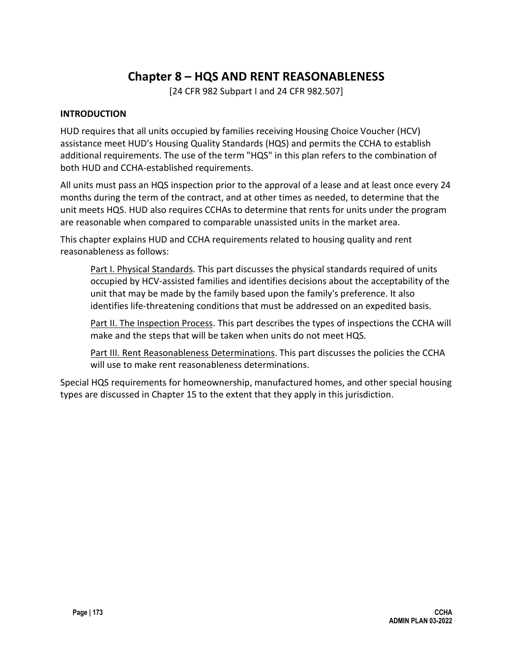# **Chapter 8 – HQS AND RENT REASONABLENESS**

[24 CFR 982 Subpart I and 24 CFR 982.507]

## **INTRODUCTION**

HUD requires that all units occupied by families receiving Housing Choice Voucher (HCV) assistance meet HUD's Housing Quality Standards (HQS) and permits the CCHA to establish additional requirements. The use of the term "HQS" in this plan refers to the combination of both HUD and CCHA-established requirements.

All units must pass an HQS inspection prior to the approval of a lease and at least once every 24 months during the term of the contract, and at other times as needed, to determine that the unit meets HQS. HUD also requires CCHAs to determine that rents for units under the program are reasonable when compared to comparable unassisted units in the market area.

This chapter explains HUD and CCHA requirements related to housing quality and rent reasonableness as follows:

Part I. Physical Standards. This part discusses the physical standards required of units occupied by HCV-assisted families and identifies decisions about the acceptability of the unit that may be made by the family based upon the family's preference. It also identifies life-threatening conditions that must be addressed on an expedited basis.

Part II. The Inspection Process. This part describes the types of inspections the CCHA will make and the steps that will be taken when units do not meet HQS.

Part III. Rent Reasonableness Determinations. This part discusses the policies the CCHA will use to make rent reasonableness determinations.

Special HQS requirements for homeownership, manufactured homes, and other special housing types are discussed in Chapter 15 to the extent that they apply in this jurisdiction.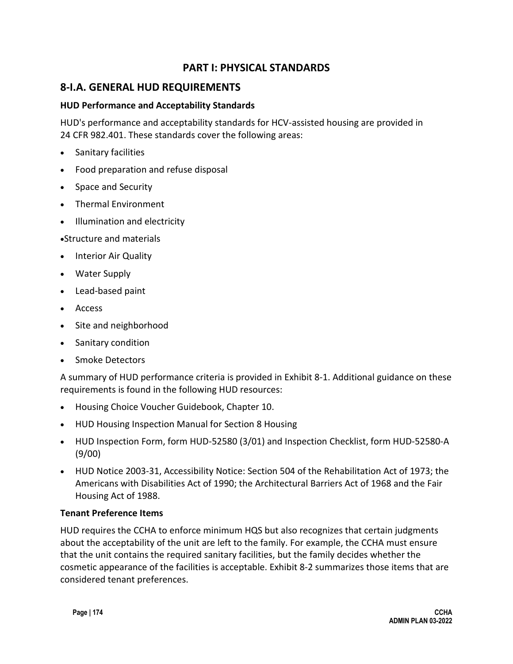## **PART I: PHYSICAL STANDARDS**

## **8-I.A. GENERAL HUD REQUIREMENTS**

### **HUD Performance and Acceptability Standards**

HUD's performance and acceptability standards for HCV-assisted housing are provided in 24 CFR 982.401. These standards cover the following areas:

- Sanitary facilities
- Food preparation and refuse disposal
- Space and Security
- Thermal Environment
- Illumination and electricity
- •Structure and materials
- Interior Air Quality
- Water Supply
- Lead-based paint
- Access
- Site and neighborhood
- Sanitary condition
- Smoke Detectors

A summary of HUD performance criteria is provided in Exhibit 8-1. Additional guidance on these requirements is found in the following HUD resources:

- Housing Choice Voucher Guidebook, Chapter 10.
- HUD Housing Inspection Manual for Section 8 Housing
- HUD Inspection Form, form HUD-52580 (3/01) and Inspection Checklist, form HUD-52580-A (9/00)
- HUD Notice 2003-31, Accessibility Notice: Section 504 of the Rehabilitation Act of 1973; the Americans with Disabilities Act of 1990; the Architectural Barriers Act of 1968 and the Fair Housing Act of 1988.

#### **Tenant Preference Items**

HUD requires the CCHA to enforce minimum HQS but also recognizes that certain judgments about the acceptability of the unit are left to the family. For example, the CCHA must ensure that the unit contains the required sanitary facilities, but the family decides whether the cosmetic appearance of the facilities is acceptable. Exhibit 8-2 summarizes those items that are considered tenant preferences.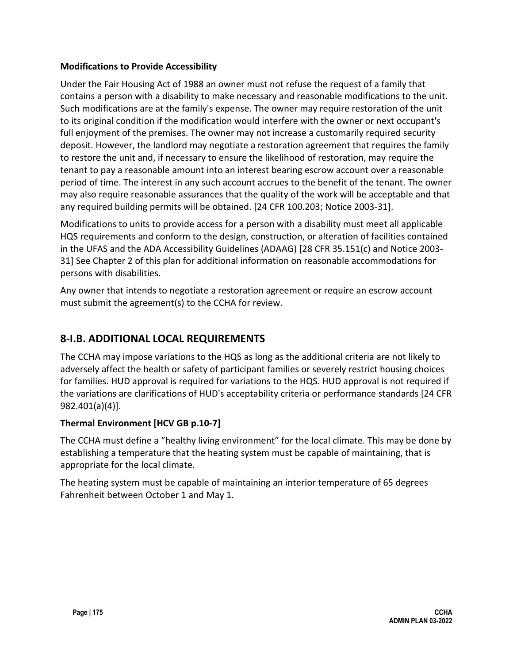### **Modifications to Provide Accessibility**

Under the Fair Housing Act of 1988 an owner must not refuse the request of a family that contains a person with a disability to make necessary and reasonable modifications to the unit. Such modifications are at the family's expense. The owner may require restoration of the unit to its original condition if the modification would interfere with the owner or next occupant's full enjoyment of the premises. The owner may not increase a customarily required security deposit. However, the landlord may negotiate a restoration agreement that requires the family to restore the unit and, if necessary to ensure the likelihood of restoration, may require the tenant to pay a reasonable amount into an interest bearing escrow account over a reasonable period of time. The interest in any such account accrues to the benefit of the tenant. The owner may also require reasonable assurances that the quality of the work will be acceptable and that any required building permits will be obtained. [24 CFR 100.203; Notice 2003-31].

Modifications to units to provide access for a person with a disability must meet all applicable HQS requirements and conform to the design, construction, or alteration of facilities contained in the UFAS and the ADA Accessibility Guidelines (ADAAG) [28 CFR 35.151(c) and Notice 2003- 31] See Chapter 2 of this plan for additional information on reasonable accommodations for persons with disabilities.

Any owner that intends to negotiate a restoration agreement or require an escrow account must submit the agreement(s) to the CCHA for review.

# **8-I.B. ADDITIONAL LOCAL REQUIREMENTS**

The CCHA may impose variations to the HQS as long as the additional criteria are not likely to adversely affect the health or safety of participant families or severely restrict housing choices for families. HUD approval is required for variations to the HQS. HUD approval is not required if the variations are clarifications of HUD's acceptability criteria or performance standards [24 CFR 982.401(a)(4)].

## **Thermal Environment [HCV GB p.10-7]**

The CCHA must define a "healthy living environment" for the local climate. This may be done by establishing a temperature that the heating system must be capable of maintaining, that is appropriate for the local climate.

The heating system must be capable of maintaining an interior temperature of 65 degrees Fahrenheit between October 1 and May 1.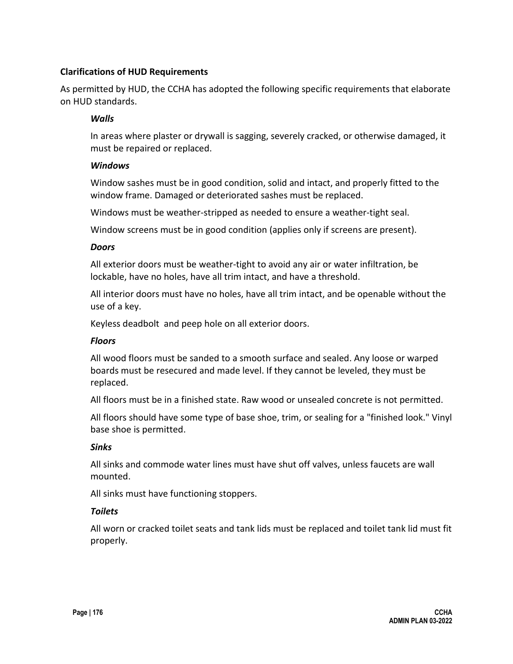## **Clarifications of HUD Requirements**

As permitted by HUD, the CCHA has adopted the following specific requirements that elaborate on HUD standards.

#### *Walls*

In areas where plaster or drywall is sagging, severely cracked, or otherwise damaged, it must be repaired or replaced.

#### *Windows*

Window sashes must be in good condition, solid and intact, and properly fitted to the window frame. Damaged or deteriorated sashes must be replaced.

Windows must be weather-stripped as needed to ensure a weather-tight seal.

Window screens must be in good condition (applies only if screens are present).

#### *Doors*

All exterior doors must be weather-tight to avoid any air or water infiltration, be lockable, have no holes, have all trim intact, and have a threshold.

All interior doors must have no holes, have all trim intact, and be openable without the use of a key.

Keyless deadbolt and peep hole on all exterior doors.

## *Floors*

All wood floors must be sanded to a smooth surface and sealed. Any loose or warped boards must be resecured and made level. If they cannot be leveled, they must be replaced.

All floors must be in a finished state. Raw wood or unsealed concrete is not permitted.

All floors should have some type of base shoe, trim, or sealing for a "finished look." Vinyl base shoe is permitted.

#### *Sinks*

All sinks and commode water lines must have shut off valves, unless faucets are wall mounted.

All sinks must have functioning stoppers.

#### *Toilets*

All worn or cracked toilet seats and tank lids must be replaced and toilet tank lid must fit properly.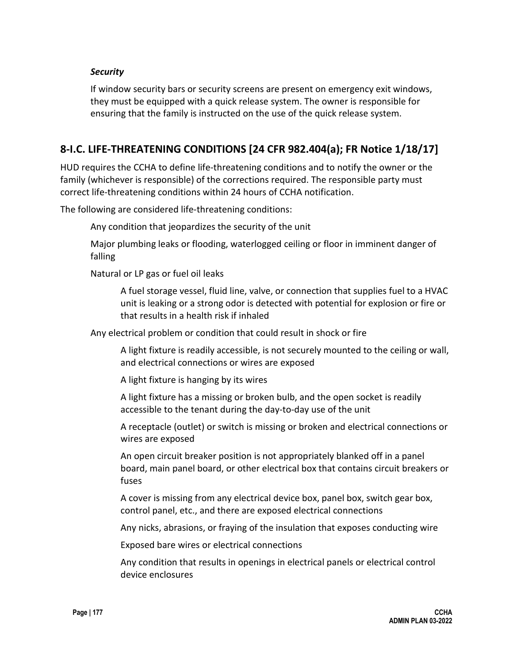#### *Security*

If window security bars or security screens are present on emergency exit windows, they must be equipped with a quick release system. The owner is responsible for ensuring that the family is instructed on the use of the quick release system.

## **8-I.C. LIFE-THREATENING CONDITIONS [24 CFR 982.404(a); FR Notice 1/18/17]**

HUD requires the CCHA to define life-threatening conditions and to notify the owner or the family (whichever is responsible) of the corrections required. The responsible party must correct life-threatening conditions within 24 hours of CCHA notification.

The following are considered life-threatening conditions:

Any condition that jeopardizes the security of the unit

Major plumbing leaks or flooding, waterlogged ceiling or floor in imminent danger of falling

Natural or LP gas or fuel oil leaks

A fuel storage vessel, fluid line, valve, or connection that supplies fuel to a HVAC unit is leaking or a strong odor is detected with potential for explosion or fire or that results in a health risk if inhaled

Any electrical problem or condition that could result in shock or fire

A light fixture is readily accessible, is not securely mounted to the ceiling or wall, and electrical connections or wires are exposed

A light fixture is hanging by its wires

A light fixture has a missing or broken bulb, and the open socket is readily accessible to the tenant during the day-to-day use of the unit

A receptacle (outlet) or switch is missing or broken and electrical connections or wires are exposed

An open circuit breaker position is not appropriately blanked off in a panel board, main panel board, or other electrical box that contains circuit breakers or fuses

A cover is missing from any electrical device box, panel box, switch gear box, control panel, etc., and there are exposed electrical connections

Any nicks, abrasions, or fraying of the insulation that exposes conducting wire

Exposed bare wires or electrical connections

Any condition that results in openings in electrical panels or electrical control device enclosures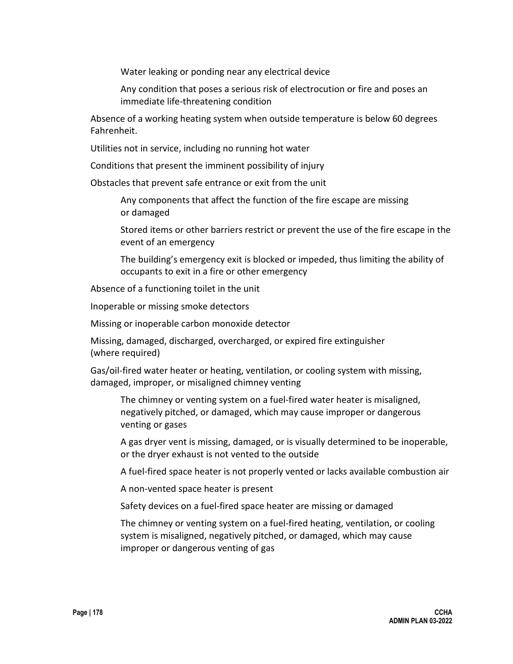Water leaking or ponding near any electrical device

Any condition that poses a serious risk of electrocution or fire and poses an immediate life-threatening condition

Absence of a working heating system when outside temperature is below 60 degrees Fahrenheit.

Utilities not in service, including no running hot water

Conditions that present the imminent possibility of injury

Obstacles that prevent safe entrance or exit from the unit

Any components that affect the function of the fire escape are missing or damaged

Stored items or other barriers restrict or prevent the use of the fire escape in the event of an emergency

The building's emergency exit is blocked or impeded, thus limiting the ability of occupants to exit in a fire or other emergency

Absence of a functioning toilet in the unit

Inoperable or missing smoke detectors

Missing or inoperable carbon monoxide detector

Missing, damaged, discharged, overcharged, or expired fire extinguisher (where required)

Gas/oil-fired water heater or heating, ventilation, or cooling system with missing, damaged, improper, or misaligned chimney venting

The chimney or venting system on a fuel-fired water heater is misaligned, negatively pitched, or damaged, which may cause improper or dangerous venting or gases

A gas dryer vent is missing, damaged, or is visually determined to be inoperable, or the dryer exhaust is not vented to the outside

A fuel-fired space heater is not properly vented or lacks available combustion air

A non-vented space heater is present

Safety devices on a fuel-fired space heater are missing or damaged

The chimney or venting system on a fuel-fired heating, ventilation, or cooling system is misaligned, negatively pitched, or damaged, which may cause improper or dangerous venting of gas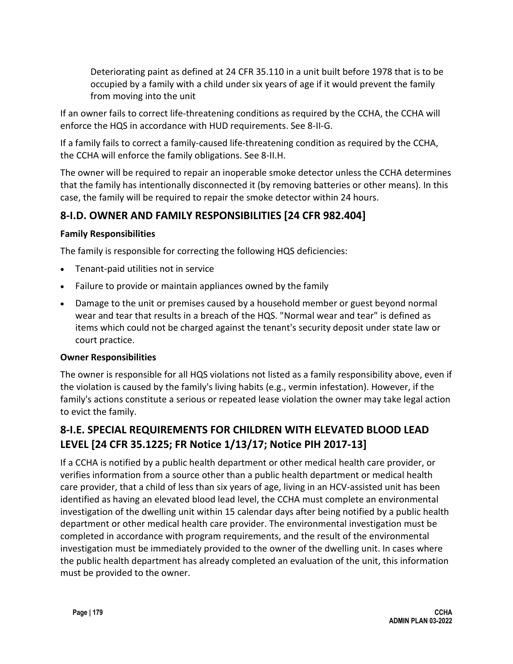Deteriorating paint as defined at 24 CFR 35.110 in a unit built before 1978 that is to be occupied by a family with a child under six years of age if it would prevent the family from moving into the unit

If an owner fails to correct life-threatening conditions as required by the CCHA, the CCHA will enforce the HQS in accordance with HUD requirements. See 8-II-G.

If a family fails to correct a family-caused life-threatening condition as required by the CCHA, the CCHA will enforce the family obligations. See 8-II.H.

The owner will be required to repair an inoperable smoke detector unless the CCHA determines that the family has intentionally disconnected it (by removing batteries or other means). In this case, the family will be required to repair the smoke detector within 24 hours.

# **8-I.D. OWNER AND FAMILY RESPONSIBILITIES [24 CFR 982.404]**

## **Family Responsibilities**

The family is responsible for correcting the following HQS deficiencies:

- Tenant-paid utilities not in service
- Failure to provide or maintain appliances owned by the family
- Damage to the unit or premises caused by a household member or guest beyond normal wear and tear that results in a breach of the HQS. "Normal wear and tear" is defined as items which could not be charged against the tenant's security deposit under state law or court practice.

## **Owner Responsibilities**

The owner is responsible for all HQS violations not listed as a family responsibility above, even if the violation is caused by the family's living habits (e.g., vermin infestation). However, if the family's actions constitute a serious or repeated lease violation the owner may take legal action to evict the family.

# **8-I.E. SPECIAL REQUIREMENTS FOR CHILDREN WITH ELEVATED BLOOD LEAD LEVEL [24 CFR 35.1225; FR Notice 1/13/17; Notice PIH 2017-13]**

If a CCHA is notified by a public health department or other medical health care provider, or verifies information from a source other than a public health department or medical health care provider, that a child of less than six years of age, living in an HCV-assisted unit has been identified as having an elevated blood lead level, the CCHA must complete an environmental investigation of the dwelling unit within 15 calendar days after being notified by a public health department or other medical health care provider. The environmental investigation must be completed in accordance with program requirements, and the result of the environmental investigation must be immediately provided to the owner of the dwelling unit. In cases where the public health department has already completed an evaluation of the unit, this information must be provided to the owner.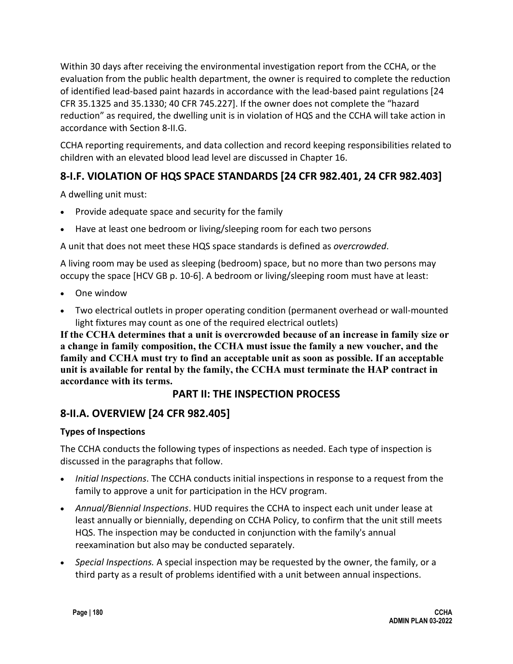Within 30 days after receiving the environmental investigation report from the CCHA, or the evaluation from the public health department, the owner is required to complete the reduction of identified lead-based paint hazards in accordance with the lead-based paint regulations [24 CFR 35.1325 and 35.1330; 40 CFR 745.227]. If the owner does not complete the "hazard reduction" as required, the dwelling unit is in violation of HQS and the CCHA will take action in accordance with Section 8-II.G.

CCHA reporting requirements, and data collection and record keeping responsibilities related to children with an elevated blood lead level are discussed in Chapter 16.

# **8-I.F. VIOLATION OF HQS SPACE STANDARDS [24 CFR 982.401, 24 CFR 982.403]**

A dwelling unit must:

- Provide adequate space and security for the family
- Have at least one bedroom or living/sleeping room for each two persons

A unit that does not meet these HQS space standards is defined as *overcrowded*.

A living room may be used as sleeping (bedroom) space, but no more than two persons may occupy the space [HCV GB p. 10-6]. A bedroom or living/sleeping room must have at least:

- One window
- Two electrical outlets in proper operating condition (permanent overhead or wall-mounted light fixtures may count as one of the required electrical outlets)

**If the CCHA determines that a unit is overcrowded because of an increase in family size or a change in family composition, the CCHA must issue the family a new voucher, and the family and CCHA must try to find an acceptable unit as soon as possible. If an acceptable unit is available for rental by the family, the CCHA must terminate the HAP contract in accordance with its terms.** 

## **PART II: THE INSPECTION PROCESS**

## **8-II.A. OVERVIEW [24 CFR 982.405]**

## **Types of Inspections**

The CCHA conducts the following types of inspections as needed. Each type of inspection is discussed in the paragraphs that follow.

- *Initial Inspections*. The CCHA conducts initial inspections in response to a request from the family to approve a unit for participation in the HCV program.
- *Annual/Biennial Inspections*. HUD requires the CCHA to inspect each unit under lease at least annually or biennially, depending on CCHA Policy, to confirm that the unit still meets HQS. The inspection may be conducted in conjunction with the family's annual reexamination but also may be conducted separately.
- *Special Inspections.* A special inspection may be requested by the owner, the family, or a third party as a result of problems identified with a unit between annual inspections.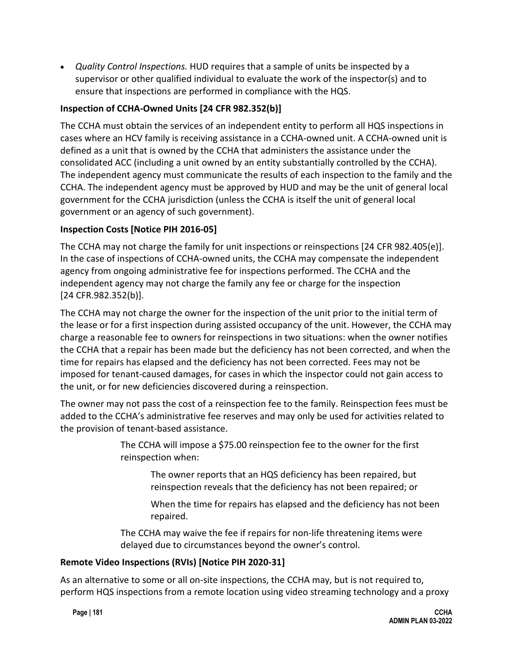• *Quality Control Inspections.* HUD requires that a sample of units be inspected by a supervisor or other qualified individual to evaluate the work of the inspector(s) and to ensure that inspections are performed in compliance with the HQS.

## **Inspection of CCHA-Owned Units [24 CFR 982.352(b)]**

The CCHA must obtain the services of an independent entity to perform all HQS inspections in cases where an HCV family is receiving assistance in a CCHA-owned unit. A CCHA-owned unit is defined as a unit that is owned by the CCHA that administers the assistance under the consolidated ACC (including a unit owned by an entity substantially controlled by the CCHA). The independent agency must communicate the results of each inspection to the family and the CCHA. The independent agency must be approved by HUD and may be the unit of general local government for the CCHA jurisdiction (unless the CCHA is itself the unit of general local government or an agency of such government).

## **Inspection Costs [Notice PIH 2016-05]**

The CCHA may not charge the family for unit inspections or reinspections [24 CFR 982.405(e)]. In the case of inspections of CCHA-owned units, the CCHA may compensate the independent agency from ongoing administrative fee for inspections performed. The CCHA and the independent agency may not charge the family any fee or charge for the inspection [24 CFR.982.352(b)].

The CCHA may not charge the owner for the inspection of the unit prior to the initial term of the lease or for a first inspection during assisted occupancy of the unit. However, the CCHA may charge a reasonable fee to owners for reinspections in two situations: when the owner notifies the CCHA that a repair has been made but the deficiency has not been corrected, and when the time for repairs has elapsed and the deficiency has not been corrected. Fees may not be imposed for tenant-caused damages, for cases in which the inspector could not gain access to the unit, or for new deficiencies discovered during a reinspection.

The owner may not pass the cost of a reinspection fee to the family. Reinspection fees must be added to the CCHA's administrative fee reserves and may only be used for activities related to the provision of tenant-based assistance.

> The CCHA will impose a \$75.00 reinspection fee to the owner for the first reinspection when:

The owner reports that an HQS deficiency has been repaired, but reinspection reveals that the deficiency has not been repaired; or

When the time for repairs has elapsed and the deficiency has not been repaired.

The CCHA may waive the fee if repairs for non-life threatening items were delayed due to circumstances beyond the owner's control.

## **Remote Video Inspections (RVIs) [Notice PIH 2020-31]**

As an alternative to some or all on-site inspections, the CCHA may, but is not required to, perform HQS inspections from a remote location using video streaming technology and a proxy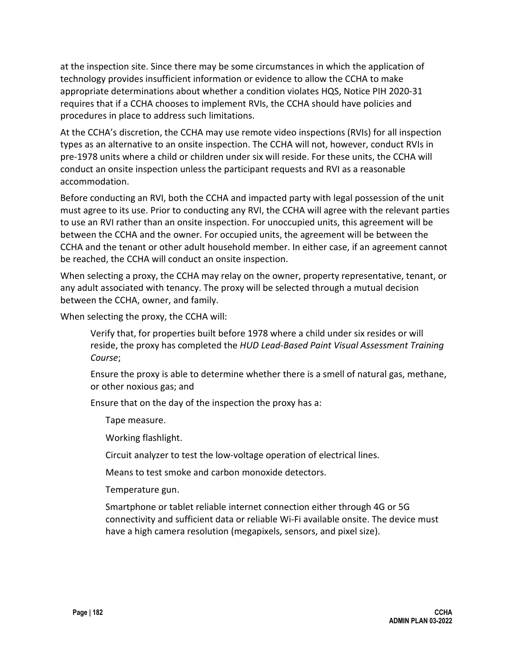at the inspection site. Since there may be some circumstances in which the application of technology provides insufficient information or evidence to allow the CCHA to make appropriate determinations about whether a condition violates HQS, Notice PIH 2020-31 requires that if a CCHA chooses to implement RVIs, the CCHA should have policies and procedures in place to address such limitations.

At the CCHA's discretion, the CCHA may use remote video inspections (RVIs) for all inspection types as an alternative to an onsite inspection. The CCHA will not, however, conduct RVIs in pre-1978 units where a child or children under six will reside. For these units, the CCHA will conduct an onsite inspection unless the participant requests and RVI as a reasonable accommodation.

Before conducting an RVI, both the CCHA and impacted party with legal possession of the unit must agree to its use. Prior to conducting any RVI, the CCHA will agree with the relevant parties to use an RVI rather than an onsite inspection. For unoccupied units, this agreement will be between the CCHA and the owner. For occupied units, the agreement will be between the CCHA and the tenant or other adult household member. In either case, if an agreement cannot be reached, the CCHA will conduct an onsite inspection.

When selecting a proxy, the CCHA may relay on the owner, property representative, tenant, or any adult associated with tenancy. The proxy will be selected through a mutual decision between the CCHA, owner, and family.

When selecting the proxy, the CCHA will:

Verify that, for properties built before 1978 where a child under six resides or will reside, the proxy has completed the *HUD Lead-Based Paint Visual Assessment Training Course*;

Ensure the proxy is able to determine whether there is a smell of natural gas, methane, or other noxious gas; and

Ensure that on the day of the inspection the proxy has a:

Tape measure.

Working flashlight.

Circuit analyzer to test the low-voltage operation of electrical lines.

Means to test smoke and carbon monoxide detectors.

Temperature gun.

Smartphone or tablet reliable internet connection either through 4G or 5G connectivity and sufficient data or reliable Wi-Fi available onsite. The device must have a high camera resolution (megapixels, sensors, and pixel size).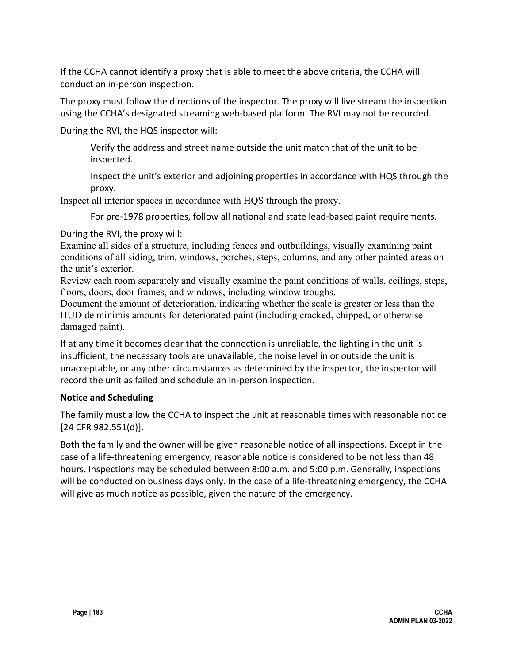If the CCHA cannot identify a proxy that is able to meet the above criteria, the CCHA will conduct an in-person inspection.

The proxy must follow the directions of the inspector. The proxy will live stream the inspection using the CCHA's designated streaming web-based platform. The RVI may not be recorded.

During the RVI, the HQS inspector will:

Verify the address and street name outside the unit match that of the unit to be inspected.

Inspect the unit's exterior and adjoining properties in accordance with HQS through the proxy.

Inspect all interior spaces in accordance with HQS through the proxy.

For pre-1978 properties, follow all national and state lead-based paint requirements.

During the RVI, the proxy will:

Examine all sides of a structure, including fences and outbuildings, visually examining paint conditions of all siding, trim, windows, porches, steps, columns, and any other painted areas on the unit's exterior.

Review each room separately and visually examine the paint conditions of walls, ceilings, steps, floors, doors, door frames, and windows, including window troughs.

Document the amount of deterioration, indicating whether the scale is greater or less than the HUD de minimis amounts for deteriorated paint (including cracked, chipped, or otherwise damaged paint).

If at any time it becomes clear that the connection is unreliable, the lighting in the unit is insufficient, the necessary tools are unavailable, the noise level in or outside the unit is unacceptable, or any other circumstances as determined by the inspector, the inspector will record the unit as failed and schedule an in-person inspection.

## **Notice and Scheduling**

The family must allow the CCHA to inspect the unit at reasonable times with reasonable notice [24 CFR 982.551(d)].

Both the family and the owner will be given reasonable notice of all inspections. Except in the case of a life-threatening emergency, reasonable notice is considered to be not less than 48 hours. Inspections may be scheduled between 8:00 a.m. and 5:00 p.m. Generally, inspections will be conducted on business days only. In the case of a life-threatening emergency, the CCHA will give as much notice as possible, given the nature of the emergency.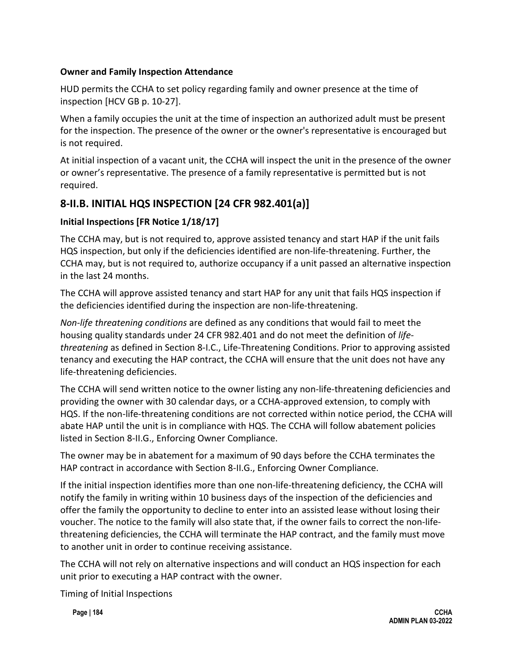## **Owner and Family Inspection Attendance**

HUD permits the CCHA to set policy regarding family and owner presence at the time of inspection [HCV GB p. 10-27].

When a family occupies the unit at the time of inspection an authorized adult must be present for the inspection. The presence of the owner or the owner's representative is encouraged but is not required.

At initial inspection of a vacant unit, the CCHA will inspect the unit in the presence of the owner or owner's representative. The presence of a family representative is permitted but is not required.

# **8-II.B. INITIAL HQS INSPECTION [24 CFR 982.401(a)]**

## **Initial Inspections [FR Notice 1/18/17]**

The CCHA may, but is not required to, approve assisted tenancy and start HAP if the unit fails HQS inspection, but only if the deficiencies identified are non-life-threatening. Further, the CCHA may, but is not required to, authorize occupancy if a unit passed an alternative inspection in the last 24 months.

The CCHA will approve assisted tenancy and start HAP for any unit that fails HQS inspection if the deficiencies identified during the inspection are non-life-threatening.

*Non-life threatening conditions* are defined as any conditions that would fail to meet the housing quality standards under 24 CFR 982.401 and do not meet the definition of *lifethreatening* as defined in Section 8-I.C., Life-Threatening Conditions. Prior to approving assisted tenancy and executing the HAP contract, the CCHA will ensure that the unit does not have any life-threatening deficiencies.

The CCHA will send written notice to the owner listing any non-life-threatening deficiencies and providing the owner with 30 calendar days, or a CCHA-approved extension, to comply with HQS. If the non-life-threatening conditions are not corrected within notice period, the CCHA will abate HAP until the unit is in compliance with HQS. The CCHA will follow abatement policies listed in Section 8-II.G., Enforcing Owner Compliance.

The owner may be in abatement for a maximum of 90 days before the CCHA terminates the HAP contract in accordance with Section 8-II.G., Enforcing Owner Compliance.

If the initial inspection identifies more than one non-life-threatening deficiency, the CCHA will notify the family in writing within 10 business days of the inspection of the deficiencies and offer the family the opportunity to decline to enter into an assisted lease without losing their voucher. The notice to the family will also state that, if the owner fails to correct the non-lifethreatening deficiencies, the CCHA will terminate the HAP contract, and the family must move to another unit in order to continue receiving assistance.

The CCHA will not rely on alternative inspections and will conduct an HQS inspection for each unit prior to executing a HAP contract with the owner.

Timing of Initial Inspections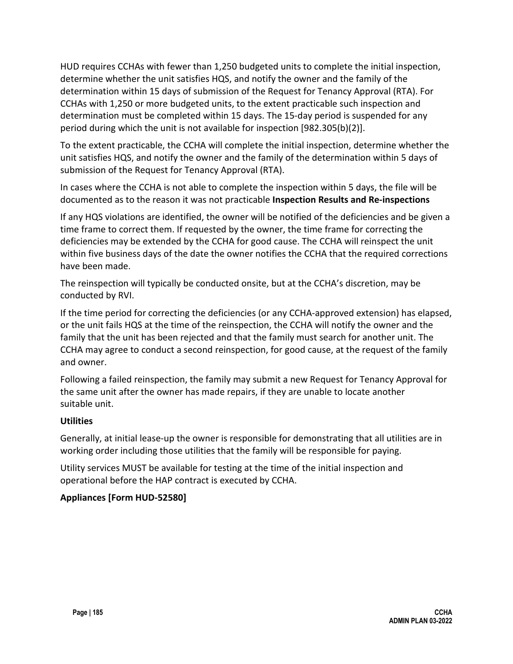HUD requires CCHAs with fewer than 1,250 budgeted units to complete the initial inspection, determine whether the unit satisfies HQS, and notify the owner and the family of the determination within 15 days of submission of the Request for Tenancy Approval (RTA). For CCHAs with 1,250 or more budgeted units, to the extent practicable such inspection and determination must be completed within 15 days. The 15-day period is suspended for any period during which the unit is not available for inspection [982.305(b)(2)].

To the extent practicable, the CCHA will complete the initial inspection, determine whether the unit satisfies HQS, and notify the owner and the family of the determination within 5 days of submission of the Request for Tenancy Approval (RTA).

In cases where the CCHA is not able to complete the inspection within 5 days, the file will be documented as to the reason it was not practicable **Inspection Results and Re-inspections**

If any HQS violations are identified, the owner will be notified of the deficiencies and be given a time frame to correct them. If requested by the owner, the time frame for correcting the deficiencies may be extended by the CCHA for good cause. The CCHA will reinspect the unit within five business days of the date the owner notifies the CCHA that the required corrections have been made.

The reinspection will typically be conducted onsite, but at the CCHA's discretion, may be conducted by RVI.

If the time period for correcting the deficiencies (or any CCHA-approved extension) has elapsed, or the unit fails HQS at the time of the reinspection, the CCHA will notify the owner and the family that the unit has been rejected and that the family must search for another unit. The CCHA may agree to conduct a second reinspection, for good cause, at the request of the family and owner.

Following a failed reinspection, the family may submit a new Request for Tenancy Approval for the same unit after the owner has made repairs, if they are unable to locate another suitable unit.

## **Utilities**

Generally, at initial lease-up the owner is responsible for demonstrating that all utilities are in working order including those utilities that the family will be responsible for paying.

Utility services MUST be available for testing at the time of the initial inspection and operational before the HAP contract is executed by CCHA.

## **Appliances [Form HUD-52580]**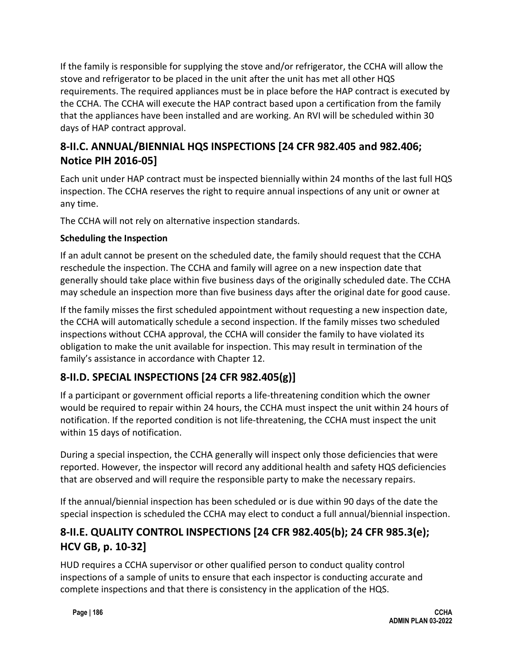If the family is responsible for supplying the stove and/or refrigerator, the CCHA will allow the stove and refrigerator to be placed in the unit after the unit has met all other HQS requirements. The required appliances must be in place before the HAP contract is executed by the CCHA. The CCHA will execute the HAP contract based upon a certification from the family that the appliances have been installed and are working. An RVI will be scheduled within 30 days of HAP contract approval.

# **8-II.C. ANNUAL/BIENNIAL HQS INSPECTIONS [24 CFR 982.405 and 982.406; Notice PIH 2016-05]**

Each unit under HAP contract must be inspected biennially within 24 months of the last full HQS inspection. The CCHA reserves the right to require annual inspections of any unit or owner at any time.

The CCHA will not rely on alternative inspection standards.

## **Scheduling the Inspection**

If an adult cannot be present on the scheduled date, the family should request that the CCHA reschedule the inspection. The CCHA and family will agree on a new inspection date that generally should take place within five business days of the originally scheduled date. The CCHA may schedule an inspection more than five business days after the original date for good cause.

If the family misses the first scheduled appointment without requesting a new inspection date, the CCHA will automatically schedule a second inspection. If the family misses two scheduled inspections without CCHA approval, the CCHA will consider the family to have violated its obligation to make the unit available for inspection. This may result in termination of the family's assistance in accordance with Chapter 12.

# **8-II.D. SPECIAL INSPECTIONS [24 CFR 982.405(g)]**

If a participant or government official reports a life-threatening condition which the owner would be required to repair within 24 hours, the CCHA must inspect the unit within 24 hours of notification. If the reported condition is not life-threatening, the CCHA must inspect the unit within 15 days of notification.

During a special inspection, the CCHA generally will inspect only those deficiencies that were reported. However, the inspector will record any additional health and safety HQS deficiencies that are observed and will require the responsible party to make the necessary repairs.

If the annual/biennial inspection has been scheduled or is due within 90 days of the date the special inspection is scheduled the CCHA may elect to conduct a full annual/biennial inspection.

# **8-II.E. QUALITY CONTROL INSPECTIONS [24 CFR 982.405(b); 24 CFR 985.3(e); HCV GB, p. 10-32]**

HUD requires a CCHA supervisor or other qualified person to conduct quality control inspections of a sample of units to ensure that each inspector is conducting accurate and complete inspections and that there is consistency in the application of the HQS.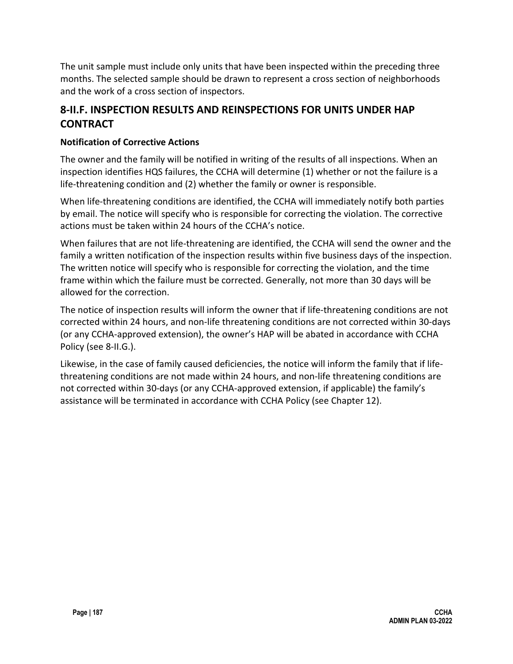The unit sample must include only units that have been inspected within the preceding three months. The selected sample should be drawn to represent a cross section of neighborhoods and the work of a cross section of inspectors.

# **8-II.F. INSPECTION RESULTS AND REINSPECTIONS FOR UNITS UNDER HAP CONTRACT**

## **Notification of Corrective Actions**

The owner and the family will be notified in writing of the results of all inspections. When an inspection identifies HQS failures, the CCHA will determine (1) whether or not the failure is a life-threatening condition and (2) whether the family or owner is responsible.

When life-threatening conditions are identified, the CCHA will immediately notify both parties by email. The notice will specify who is responsible for correcting the violation. The corrective actions must be taken within 24 hours of the CCHA's notice.

When failures that are not life-threatening are identified, the CCHA will send the owner and the family a written notification of the inspection results within five business days of the inspection. The written notice will specify who is responsible for correcting the violation, and the time frame within which the failure must be corrected. Generally, not more than 30 days will be allowed for the correction.

The notice of inspection results will inform the owner that if life-threatening conditions are not corrected within 24 hours, and non-life threatening conditions are not corrected within 30-days (or any CCHA-approved extension), the owner's HAP will be abated in accordance with CCHA Policy (see 8-II.G.).

Likewise, in the case of family caused deficiencies, the notice will inform the family that if lifethreatening conditions are not made within 24 hours, and non-life threatening conditions are not corrected within 30-days (or any CCHA-approved extension, if applicable) the family's assistance will be terminated in accordance with CCHA Policy (see Chapter 12).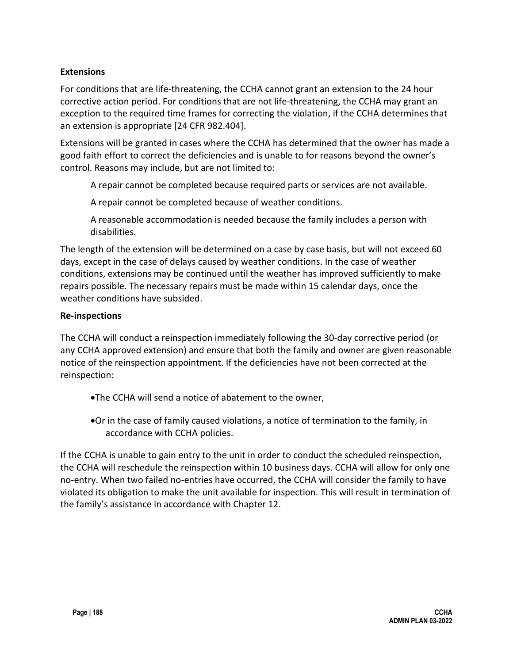## **Extensions**

For conditions that are life-threatening, the CCHA cannot grant an extension to the 24 hour corrective action period. For conditions that are not life-threatening, the CCHA may grant an exception to the required time frames for correcting the violation, if the CCHA determines that an extension is appropriate [24 CFR 982.404].

Extensions will be granted in cases where the CCHA has determined that the owner has made a good faith effort to correct the deficiencies and is unable to for reasons beyond the owner's control. Reasons may include, but are not limited to:

A repair cannot be completed because required parts or services are not available.

A repair cannot be completed because of weather conditions.

A reasonable accommodation is needed because the family includes a person with disabilities.

The length of the extension will be determined on a case by case basis, but will not exceed 60 days, except in the case of delays caused by weather conditions. In the case of weather conditions, extensions may be continued until the weather has improved sufficiently to make repairs possible. The necessary repairs must be made within 15 calendar days, once the weather conditions have subsided.

#### **Re-inspections**

The CCHA will conduct a reinspection immediately following the 30-day corrective period (or any CCHA approved extension) and ensure that both the family and owner are given reasonable notice of the reinspection appointment. If the deficiencies have not been corrected at the reinspection:

- •The CCHA will send a notice of abatement to the owner,
- •Or in the case of family caused violations, a notice of termination to the family, in accordance with CCHA policies.

If the CCHA is unable to gain entry to the unit in order to conduct the scheduled reinspection, the CCHA will reschedule the reinspection within 10 business days. CCHA will allow for only one no-entry. When two failed no-entries have occurred, the CCHA will consider the family to have violated its obligation to make the unit available for inspection. This will result in termination of the family's assistance in accordance with Chapter 12.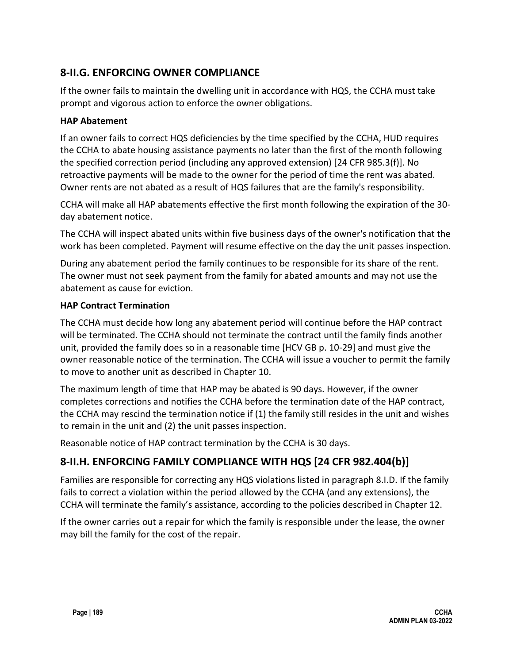# **8-II.G. ENFORCING OWNER COMPLIANCE**

If the owner fails to maintain the dwelling unit in accordance with HQS, the CCHA must take prompt and vigorous action to enforce the owner obligations.

### **HAP Abatement**

If an owner fails to correct HQS deficiencies by the time specified by the CCHA, HUD requires the CCHA to abate housing assistance payments no later than the first of the month following the specified correction period (including any approved extension) [24 CFR 985.3(f)]. No retroactive payments will be made to the owner for the period of time the rent was abated. Owner rents are not abated as a result of HQS failures that are the family's responsibility.

CCHA will make all HAP abatements effective the first month following the expiration of the 30 day abatement notice.

The CCHA will inspect abated units within five business days of the owner's notification that the work has been completed. Payment will resume effective on the day the unit passes inspection.

During any abatement period the family continues to be responsible for its share of the rent. The owner must not seek payment from the family for abated amounts and may not use the abatement as cause for eviction.

#### **HAP Contract Termination**

The CCHA must decide how long any abatement period will continue before the HAP contract will be terminated. The CCHA should not terminate the contract until the family finds another unit, provided the family does so in a reasonable time [HCV GB p. 10-29] and must give the owner reasonable notice of the termination. The CCHA will issue a voucher to permit the family to move to another unit as described in Chapter 10.

The maximum length of time that HAP may be abated is 90 days. However, if the owner completes corrections and notifies the CCHA before the termination date of the HAP contract, the CCHA may rescind the termination notice if (1) the family still resides in the unit and wishes to remain in the unit and (2) the unit passes inspection.

Reasonable notice of HAP contract termination by the CCHA is 30 days.

# **8-II.H. ENFORCING FAMILY COMPLIANCE WITH HQS [24 CFR 982.404(b)]**

Families are responsible for correcting any HQS violations listed in paragraph 8.I.D. If the family fails to correct a violation within the period allowed by the CCHA (and any extensions), the CCHA will terminate the family's assistance, according to the policies described in Chapter 12.

If the owner carries out a repair for which the family is responsible under the lease, the owner may bill the family for the cost of the repair.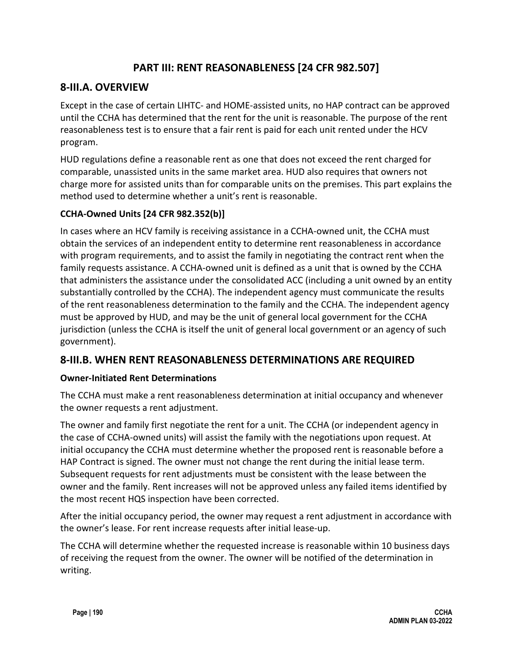# **PART III: RENT REASONABLENESS [24 CFR 982.507]**

# **8-III.A. OVERVIEW**

Except in the case of certain LIHTC- and HOME-assisted units, no HAP contract can be approved until the CCHA has determined that the rent for the unit is reasonable. The purpose of the rent reasonableness test is to ensure that a fair rent is paid for each unit rented under the HCV program.

HUD regulations define a reasonable rent as one that does not exceed the rent charged for comparable, unassisted units in the same market area. HUD also requires that owners not charge more for assisted units than for comparable units on the premises. This part explains the method used to determine whether a unit's rent is reasonable.

## **CCHA-Owned Units [24 CFR 982.352(b)]**

In cases where an HCV family is receiving assistance in a CCHA-owned unit, the CCHA must obtain the services of an independent entity to determine rent reasonableness in accordance with program requirements, and to assist the family in negotiating the contract rent when the family requests assistance. A CCHA-owned unit is defined as a unit that is owned by the CCHA that administers the assistance under the consolidated ACC (including a unit owned by an entity substantially controlled by the CCHA). The independent agency must communicate the results of the rent reasonableness determination to the family and the CCHA. The independent agency must be approved by HUD, and may be the unit of general local government for the CCHA jurisdiction (unless the CCHA is itself the unit of general local government or an agency of such government).

## **8-III.B. WHEN RENT REASONABLENESS DETERMINATIONS ARE REQUIRED**

## **Owner-Initiated Rent Determinations**

The CCHA must make a rent reasonableness determination at initial occupancy and whenever the owner requests a rent adjustment.

The owner and family first negotiate the rent for a unit. The CCHA (or independent agency in the case of CCHA-owned units) will assist the family with the negotiations upon request. At initial occupancy the CCHA must determine whether the proposed rent is reasonable before a HAP Contract is signed. The owner must not change the rent during the initial lease term. Subsequent requests for rent adjustments must be consistent with the lease between the owner and the family. Rent increases will not be approved unless any failed items identified by the most recent HQS inspection have been corrected.

After the initial occupancy period, the owner may request a rent adjustment in accordance with the owner's lease. For rent increase requests after initial lease-up.

The CCHA will determine whether the requested increase is reasonable within 10 business days of receiving the request from the owner. The owner will be notified of the determination in writing.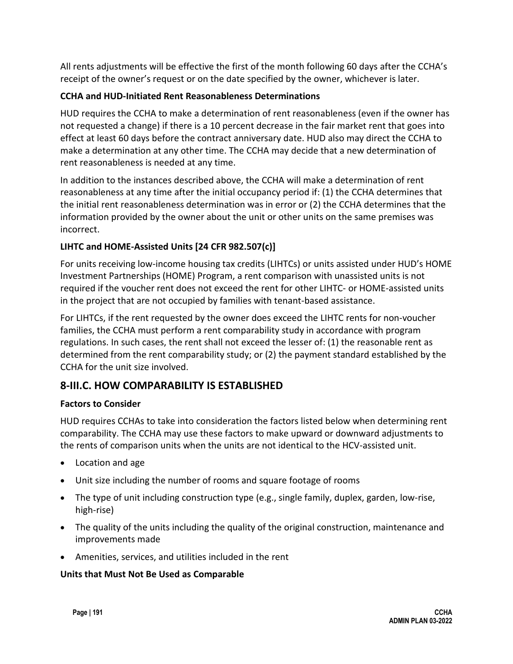All rents adjustments will be effective the first of the month following 60 days after the CCHA's receipt of the owner's request or on the date specified by the owner, whichever is later.

## **CCHA and HUD-Initiated Rent Reasonableness Determinations**

HUD requires the CCHA to make a determination of rent reasonableness (even if the owner has not requested a change) if there is a 10 percent decrease in the fair market rent that goes into effect at least 60 days before the contract anniversary date. HUD also may direct the CCHA to make a determination at any other time. The CCHA may decide that a new determination of rent reasonableness is needed at any time.

In addition to the instances described above, the CCHA will make a determination of rent reasonableness at any time after the initial occupancy period if: (1) the CCHA determines that the initial rent reasonableness determination was in error or (2) the CCHA determines that the information provided by the owner about the unit or other units on the same premises was incorrect.

## **LIHTC and HOME-Assisted Units [24 CFR 982.507(c)]**

For units receiving low-income housing tax credits (LIHTCs) or units assisted under HUD's HOME Investment Partnerships (HOME) Program, a rent comparison with unassisted units is not required if the voucher rent does not exceed the rent for other LIHTC- or HOME-assisted units in the project that are not occupied by families with tenant-based assistance.

For LIHTCs, if the rent requested by the owner does exceed the LIHTC rents for non-voucher families, the CCHA must perform a rent comparability study in accordance with program regulations. In such cases, the rent shall not exceed the lesser of: (1) the reasonable rent as determined from the rent comparability study; or (2) the payment standard established by the CCHA for the unit size involved.

# **8-III.C. HOW COMPARABILITY IS ESTABLISHED**

## **Factors to Consider**

HUD requires CCHAs to take into consideration the factors listed below when determining rent comparability. The CCHA may use these factors to make upward or downward adjustments to the rents of comparison units when the units are not identical to the HCV-assisted unit.

- Location and age
- Unit size including the number of rooms and square footage of rooms
- The type of unit including construction type (e.g., single family, duplex, garden, low-rise, high-rise)
- The quality of the units including the quality of the original construction, maintenance and improvements made
- Amenities, services, and utilities included in the rent

## **Units that Must Not Be Used as Comparable**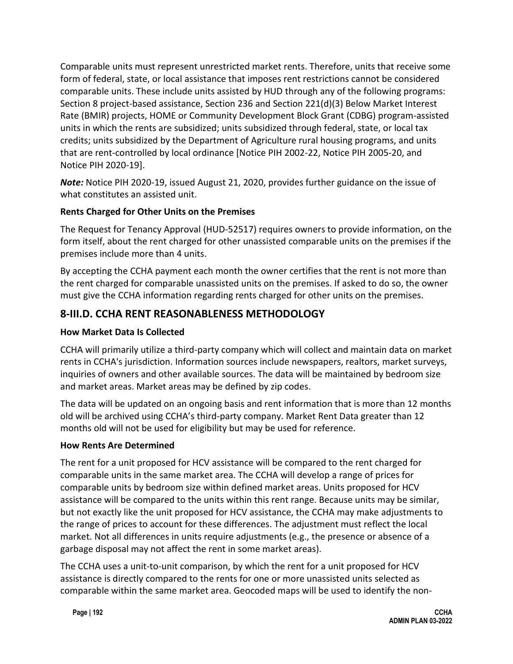Comparable units must represent unrestricted market rents. Therefore, units that receive some form of federal, state, or local assistance that imposes rent restrictions cannot be considered comparable units. These include units assisted by HUD through any of the following programs: Section 8 project-based assistance, Section 236 and Section 221(d)(3) Below Market Interest Rate (BMIR) projects, HOME or Community Development Block Grant (CDBG) program-assisted units in which the rents are subsidized; units subsidized through federal, state, or local tax credits; units subsidized by the Department of Agriculture rural housing programs, and units that are rent-controlled by local ordinance [Notice PIH 2002-22, Notice PIH 2005-20, and Notice PIH 2020-19].

*Note:* Notice PIH 2020-19, issued August 21, 2020, provides further guidance on the issue of what constitutes an assisted unit.

## **Rents Charged for Other Units on the Premises**

The Request for Tenancy Approval (HUD-52517) requires owners to provide information, on the form itself, about the rent charged for other unassisted comparable units on the premises if the premises include more than 4 units.

By accepting the CCHA payment each month the owner certifies that the rent is not more than the rent charged for comparable unassisted units on the premises. If asked to do so, the owner must give the CCHA information regarding rents charged for other units on the premises.

# **8-III.D. CCHA RENT REASONABLENESS METHODOLOGY**

## **How Market Data Is Collected**

CCHA will primarily utilize a third-party company which will collect and maintain data on market rents in CCHA's jurisdiction. Information sources include newspapers, realtors, market surveys, inquiries of owners and other available sources. The data will be maintained by bedroom size and market areas. Market areas may be defined by zip codes.

The data will be updated on an ongoing basis and rent information that is more than 12 months old will be archived using CCHA's third-party company. Market Rent Data greater than 12 months old will not be used for eligibility but may be used for reference.

## **How Rents Are Determined**

The rent for a unit proposed for HCV assistance will be compared to the rent charged for comparable units in the same market area. The CCHA will develop a range of prices for comparable units by bedroom size within defined market areas. Units proposed for HCV assistance will be compared to the units within this rent range. Because units may be similar, but not exactly like the unit proposed for HCV assistance, the CCHA may make adjustments to the range of prices to account for these differences. The adjustment must reflect the local market. Not all differences in units require adjustments (e.g., the presence or absence of a garbage disposal may not affect the rent in some market areas).

The CCHA uses a unit-to-unit comparison, by which the rent for a unit proposed for HCV assistance is directly compared to the rents for one or more unassisted units selected as comparable within the same market area. Geocoded maps will be used to identify the non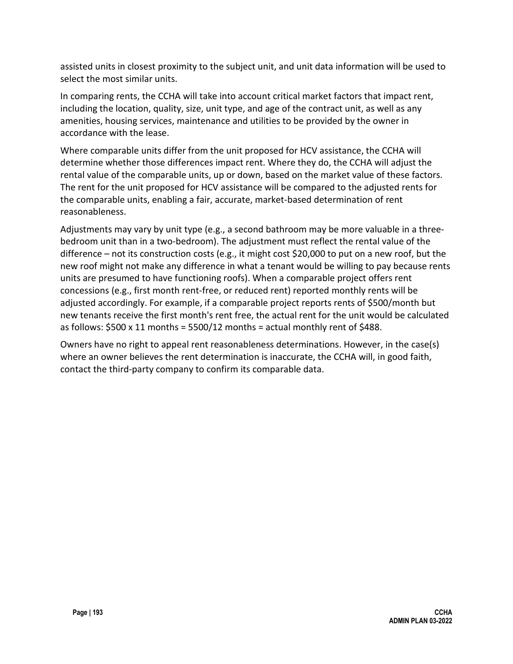assisted units in closest proximity to the subject unit, and unit data information will be used to select the most similar units.

In comparing rents, the CCHA will take into account critical market factors that impact rent, including the location, quality, size, unit type, and age of the contract unit, as well as any amenities, housing services, maintenance and utilities to be provided by the owner in accordance with the lease.

Where comparable units differ from the unit proposed for HCV assistance, the CCHA will determine whether those differences impact rent. Where they do, the CCHA will adjust the rental value of the comparable units, up or down, based on the market value of these factors. The rent for the unit proposed for HCV assistance will be compared to the adjusted rents for the comparable units, enabling a fair, accurate, market-based determination of rent reasonableness.

Adjustments may vary by unit type (e.g., a second bathroom may be more valuable in a threebedroom unit than in a two-bedroom). The adjustment must reflect the rental value of the difference – not its construction costs (e.g., it might cost \$20,000 to put on a new roof, but the new roof might not make any difference in what a tenant would be willing to pay because rents units are presumed to have functioning roofs). When a comparable project offers rent concessions (e.g., first month rent-free, or reduced rent) reported monthly rents will be adjusted accordingly. For example, if a comparable project reports rents of \$500/month but new tenants receive the first month's rent free, the actual rent for the unit would be calculated as follows:  $$500 \times 11$  months =  $5500/12$  months = actual monthly rent of  $$488$ .

Owners have no right to appeal rent reasonableness determinations. However, in the case(s) where an owner believes the rent determination is inaccurate, the CCHA will, in good faith, contact the third-party company to confirm its comparable data.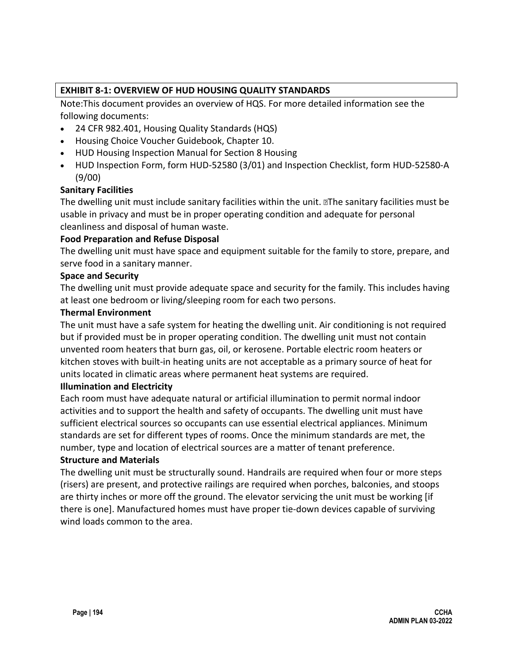## **EXHIBIT 8-1: OVERVIEW OF HUD HOUSING QUALITY STANDARDS**

Note:This document provides an overview of HQS. For more detailed information see the following documents:

- 24 CFR 982.401, Housing Quality Standards (HQS)
- Housing Choice Voucher Guidebook, Chapter 10.
- HUD Housing Inspection Manual for Section 8 Housing
- HUD Inspection Form, form HUD-52580 (3/01) and Inspection Checklist, form HUD-52580-A (9/00)

#### **Sanitary Facilities**

The dwelling unit must include sanitary facilities within the unit. The sanitary facilities must be usable in privacy and must be in proper operating condition and adequate for personal cleanliness and disposal of human waste.

#### **Food Preparation and Refuse Disposal**

The dwelling unit must have space and equipment suitable for the family to store, prepare, and serve food in a sanitary manner.

#### **Space and Security**

The dwelling unit must provide adequate space and security for the family. This includes having at least one bedroom or living/sleeping room for each two persons.

#### **Thermal Environment**

The unit must have a safe system for heating the dwelling unit. Air conditioning is not required but if provided must be in proper operating condition. The dwelling unit must not contain unvented room heaters that burn gas, oil, or kerosene. Portable electric room heaters or kitchen stoves with built-in heating units are not acceptable as a primary source of heat for units located in climatic areas where permanent heat systems are required.

#### **Illumination and Electricity**

Each room must have adequate natural or artificial illumination to permit normal indoor activities and to support the health and safety of occupants. The dwelling unit must have sufficient electrical sources so occupants can use essential electrical appliances. Minimum standards are set for different types of rooms. Once the minimum standards are met, the number, type and location of electrical sources are a matter of tenant preference.

#### **Structure and Materials**

The dwelling unit must be structurally sound. Handrails are required when four or more steps (risers) are present, and protective railings are required when porches, balconies, and stoops are thirty inches or more off the ground. The elevator servicing the unit must be working [if there is one]. Manufactured homes must have proper tie-down devices capable of surviving wind loads common to the area.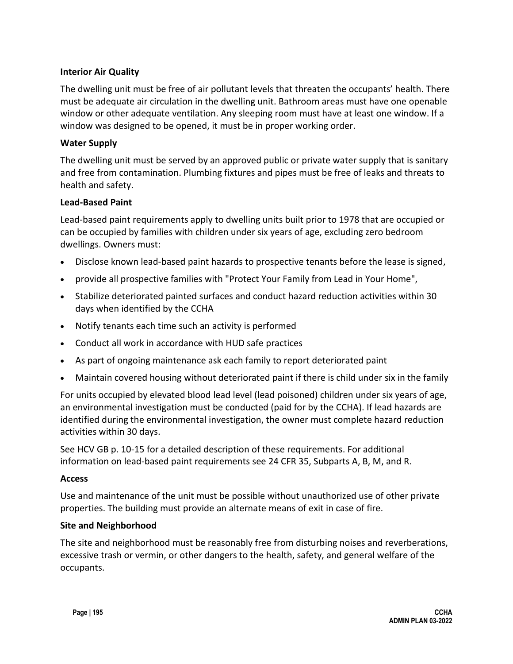### **Interior Air Quality**

The dwelling unit must be free of air pollutant levels that threaten the occupants' health. There must be adequate air circulation in the dwelling unit. Bathroom areas must have one openable window or other adequate ventilation. Any sleeping room must have at least one window. If a window was designed to be opened, it must be in proper working order.

#### **Water Supply**

The dwelling unit must be served by an approved public or private water supply that is sanitary and free from contamination. Plumbing fixtures and pipes must be free of leaks and threats to health and safety.

#### **Lead-Based Paint**

Lead-based paint requirements apply to dwelling units built prior to 1978 that are occupied or can be occupied by families with children under six years of age, excluding zero bedroom dwellings. Owners must:

- Disclose known lead-based paint hazards to prospective tenants before the lease is signed,
- provide all prospective families with "Protect Your Family from Lead in Your Home",
- Stabilize deteriorated painted surfaces and conduct hazard reduction activities within 30 days when identified by the CCHA
- Notify tenants each time such an activity is performed
- Conduct all work in accordance with HUD safe practices
- As part of ongoing maintenance ask each family to report deteriorated paint
- Maintain covered housing without deteriorated paint if there is child under six in the family

For units occupied by elevated blood lead level (lead poisoned) children under six years of age, an environmental investigation must be conducted (paid for by the CCHA). If lead hazards are identified during the environmental investigation, the owner must complete hazard reduction activities within 30 days.

See HCV GB p. 10-15 for a detailed description of these requirements. For additional information on lead-based paint requirements see 24 CFR 35, Subparts A, B, M, and R.

#### **Access**

Use and maintenance of the unit must be possible without unauthorized use of other private properties. The building must provide an alternate means of exit in case of fire.

#### **Site and Neighborhood**

The site and neighborhood must be reasonably free from disturbing noises and reverberations, excessive trash or vermin, or other dangers to the health, safety, and general welfare of the occupants.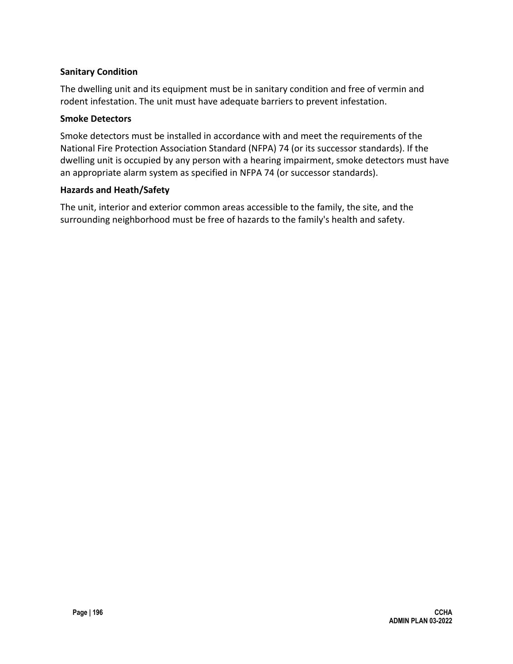## **Sanitary Condition**

The dwelling unit and its equipment must be in sanitary condition and free of vermin and rodent infestation. The unit must have adequate barriers to prevent infestation.

#### **Smoke Detectors**

Smoke detectors must be installed in accordance with and meet the requirements of the National Fire Protection Association Standard (NFPA) 74 (or its successor standards). If the dwelling unit is occupied by any person with a hearing impairment, smoke detectors must have an appropriate alarm system as specified in NFPA 74 (or successor standards).

#### **Hazards and Heath/Safety**

The unit, interior and exterior common areas accessible to the family, the site, and the surrounding neighborhood must be free of hazards to the family's health and safety.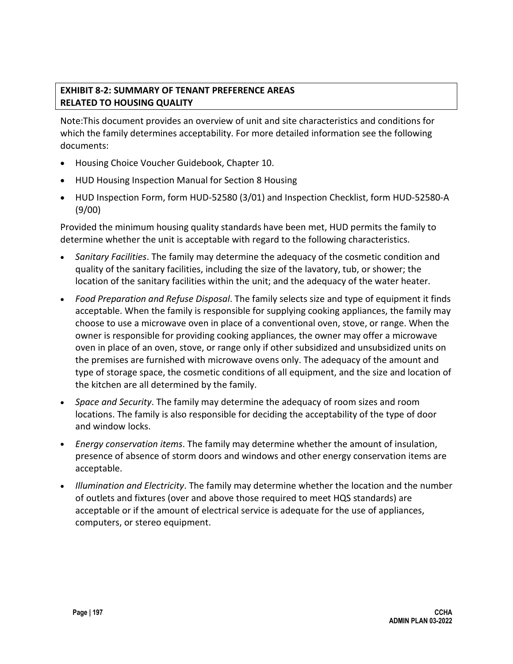## **EXHIBIT 8-2: SUMMARY OF TENANT PREFERENCE AREAS RELATED TO HOUSING QUALITY**

Note:This document provides an overview of unit and site characteristics and conditions for which the family determines acceptability. For more detailed information see the following documents:

- Housing Choice Voucher Guidebook, Chapter 10.
- HUD Housing Inspection Manual for Section 8 Housing
- HUD Inspection Form, form HUD-52580 (3/01) and Inspection Checklist, form HUD-52580-A (9/00)

Provided the minimum housing quality standards have been met, HUD permits the family to determine whether the unit is acceptable with regard to the following characteristics.

- *Sanitary Facilities*. The family may determine the adequacy of the cosmetic condition and quality of the sanitary facilities, including the size of the lavatory, tub, or shower; the location of the sanitary facilities within the unit; and the adequacy of the water heater.
- *Food Preparation and Refuse Disposal*. The family selects size and type of equipment it finds acceptable. When the family is responsible for supplying cooking appliances, the family may choose to use a microwave oven in place of a conventional oven, stove, or range. When the owner is responsible for providing cooking appliances, the owner may offer a microwave oven in place of an oven, stove, or range only if other subsidized and unsubsidized units on the premises are furnished with microwave ovens only. The adequacy of the amount and type of storage space, the cosmetic conditions of all equipment, and the size and location of the kitchen are all determined by the family.
- *Space and Security*. The family may determine the adequacy of room sizes and room locations. The family is also responsible for deciding the acceptability of the type of door and window locks.
- *Energy conservation items*. The family may determine whether the amount of insulation, presence of absence of storm doors and windows and other energy conservation items are acceptable.
- *Illumination and Electricity*. The family may determine whether the location and the number of outlets and fixtures (over and above those required to meet HQS standards) are acceptable or if the amount of electrical service is adequate for the use of appliances, computers, or stereo equipment.